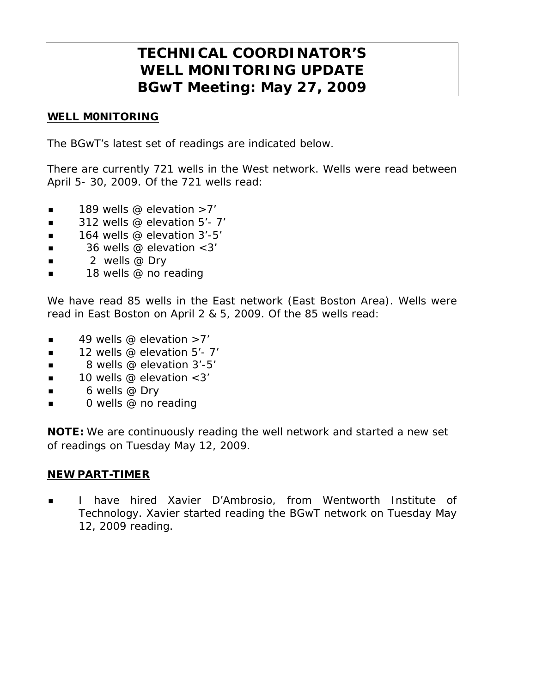# **TECHNICAL COORDINATOR'S WELL MONITORING UPDATE BGwT Meeting: May 27, 2009**

### WELL M0NITORING

The BGwT's latest set of readings are indicated below.

There are currently 721 wells in the West network. Wells were read between April 5- 30, 2009. Of the 721 wells read:

- **189 wells @ elevation >7'**
- $\blacksquare$  312 wells @ elevation 5'-7'
- $\blacksquare$  164 wells @ elevation 3'-5'
- $\blacksquare$  36 wells @ elevation < 3'
- 2 wells @ Dry
- 18 wells @ no reading

We have read 85 wells in the East network (East Boston Area). Wells were read in East Boston on April 2 & 5, 2009. Of the 85 wells read:

- $\blacksquare$  49 wells @ elevation >7'
- $\blacksquare$  12 wells @ elevation 5'- 7'
- $\blacksquare$  8 wells @ elevation 3'-5'
- $\blacksquare$  10 wells @ elevation < 3'
- 6 wells @ Dry
- **0** wells @ no reading

**NOTE:** We are continuously reading the well network and started a new set of readings on Tuesday May 12, 2009.

#### NEW PART-TIMER

 I have hired Xavier D'Ambrosio, from Wentworth Institute of Technology. Xavier started reading the BGwT network on Tuesday May 12, 2009 reading.